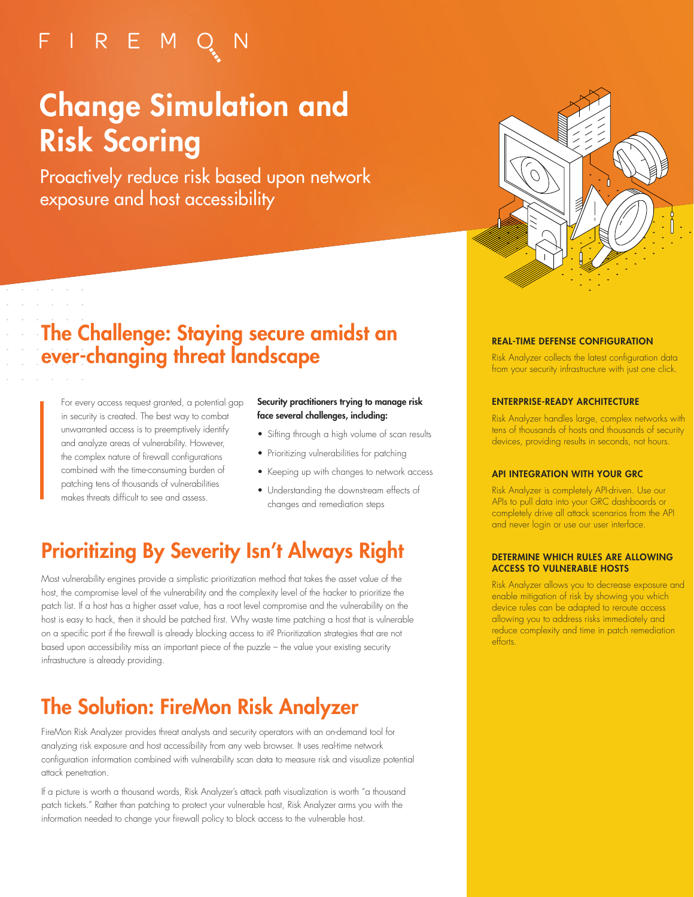## FIREMQN

# Change Simulation and Risk Scoring

Proactively reduce risk based upon network exposure and host accessibility



### The Challenge: Staying secure amidst an ever-changing threat landscape

For every access request granted, a potential gap in security is created. The best way to combat unwarranted access is to preemptively identify and analyze areas of vulnerability. However, the complex nature of firewall configurations combined with the time-consuming burden of patching tens of thousands of vulnerabilities makes threats difficult to see and assess.

and the control of  $\alpha$  ,  $\alpha$  ,  $\alpha$  ,  $\alpha$  ,  $\alpha$ 

#### Security practitioners trying to manage risk face several challenges, including:

- Sifting through a high volume of scan results
- Prioritizing vulnerabilities for patching
- Keeping up with changes to network access
- Understanding the downstream effects of changes and remediation steps

### Prioritizing By Severity Isn't Always Right

Most vulnerability engines provide a simplistic prioritization method that takes the asset value of the host, the compromise level of the vulnerability and the complexity level of the hacker to prioritize the patch list. If a host has a higher asset value, has a root level compromise and the vulnerability on the host is easy to hack, then it should be patched first. Why waste time patching a host that is vulnerable on a specific port if the firewall is already blocking access to it? Prioritization strategies that are not based upon accessibility miss an important piece of the puzzle – the value your existing security infrastructure is already providing.

### The Solution: FireMon Risk Analyzer

FireMon Risk Analyzer provides threat analysts and security operators with an on-demand tool for analyzing risk exposure and host accessibility from any web browser. It uses real-time network configuration information combined with vulnerability scan data to measure risk and visualize potential attack penetration.

If a picture is worth a thousand words, Risk Analyzer's attack path visualization is worth "a thousand patch tickets." Rather than patching to protect your vulnerable host, Risk Analyzer arms you with the information needed to change your firewall policy to block access to the vulnerable host.

#### REAL-TIME DEFENSE CONFIGURATION

Risk Analyzer collects the latest configuration data from your security infrastructure with just one click.

#### ENTERPRISE-READY ARCHITECTURE

Risk Analyzer handles large, complex networks with tens of thousands of hosts and thousands of security devices, providing results in seconds, not hours.

#### API INTEGRATION WITH YOUR GRC

Risk Analyzer is completely API-driven. Use our APIs to pull data into your GRC dashboards or completely drive all attack scenarios from the API and never login or use our user interface.

#### DETERMINE WHICH RULES ARE ALLOWING ACCESS TO VULNERABLE HOSTS

Risk Analyzer allows you to decrease exposure and enable mitigation of risk by showing you which device rules can be adapted to reroute access allowing you to address risks immediately and reduce complexity and time in patch remediation efforts.